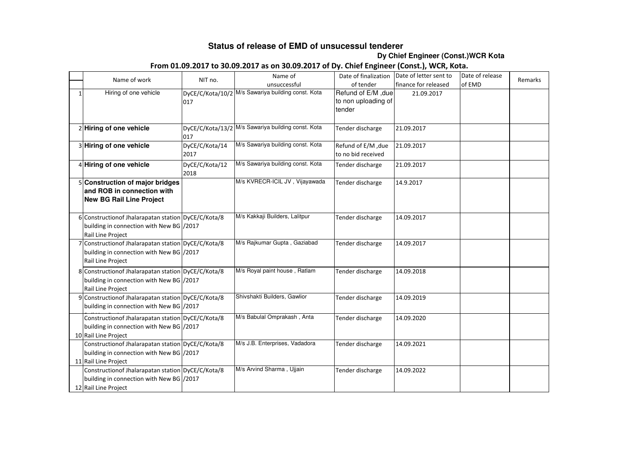## **Status of release of EMD of unsucessul tenderer**

**Dy Chief Engineer (Const.)WCR Kota** 

## **From 01.09.2017 to 30.09.2017 as on 30.09.2017 of Dy. Chief Engineer (Const.), WCR, Kota.**

|              | Name of work                                                                                                            | NIT no.                | Name of                                            | Date of finalization                                | Date of letter sent to | Date of release | Remarks |
|--------------|-------------------------------------------------------------------------------------------------------------------------|------------------------|----------------------------------------------------|-----------------------------------------------------|------------------------|-----------------|---------|
|              |                                                                                                                         |                        | unsuccessful                                       | of tender                                           | finance for released   | of EMD          |         |
| $\mathbf{1}$ | Hiring of one vehicle                                                                                                   | 017                    | DyCE/C/Kota/10/2 M/s Sawariya building const. Kota | Refund of E/M, due<br>to non uploading of<br>tender | 21.09.2017             |                 |         |
|              | 2 Hiring of one vehicle                                                                                                 | 017                    | DyCE/C/Kota/13/2 M/s Sawariya building const. Kota | Tender discharge                                    | 21.09.2017             |                 |         |
|              | 3 Hiring of one vehicle                                                                                                 | DyCE/C/Kota/14<br>2017 | M/s Sawariya building const. Kota                  | Refund of E/M , due<br>to no bid received           | 21.09.2017             |                 |         |
|              | 4 Hiring of one vehicle                                                                                                 | DyCE/C/Kota/12<br>2018 | M/s Sawariya building const. Kota                  | Tender discharge                                    | 21.09.2017             |                 |         |
|              | 5 Construction of major bridges<br>and ROB in connection with<br><b>New BG Rail Line Project</b>                        |                        | M/s KVRECR-ICIL JV, Vijayawada                     | Tender discharge                                    | 14.9.2017              |                 |         |
|              | 6 Construction of Jhalarapatan station DyCE/C/Kota/8<br>building in connection with New BG /2017<br>Rail Line Project   |                        | M/s Kakkaji Builders, Lalitpur                     | Tender discharge                                    | 14.09.2017             |                 |         |
|              | 7 Construction of Jhalarapatan station DyCE/C/Kota/8<br>building in connection with New BG / 2017<br>Rail Line Project  |                        | M/s Rajkumar Gupta, Gaziabad                       | Tender discharge                                    | 14.09.2017             |                 |         |
|              | 8 Construction of Jhalarapatan station DyCE/C/Kota/8<br>building in connection with New BG /2017<br>Rail Line Project   |                        | M/s Royal paint house, Ratlam                      | Tender discharge                                    | 14.09.2018             |                 |         |
|              | 9 Construction of Jhalarapatan station DyCE/C/Kota/8<br>building in connection with New BG / 2017                       |                        | Shivshakti Builders, Gawlior                       | Tender discharge                                    | 14.09.2019             |                 |         |
|              | Construction of Jhalarapatan station DyCE/C/Kota/8<br>building in connection with New BG /2017<br>10 Rail Line Project  |                        | M/s Babulal Omprakash, Anta                        | Tender discharge                                    | 14.09.2020             |                 |         |
|              | Construction of Jhalarapatan station DyCE/C/Kota/8<br>building in connection with New BG / 2017<br>11 Rail Line Project |                        | M/s J.B. Enterprises, Vadadora                     | Tender discharge                                    | 14.09.2021             |                 |         |
|              | Construction of Jhalarapatan station DyCE/C/Kota/8<br>building in connection with New BG /2017<br>12 Rail Line Project  |                        | M/s Arvind Sharma, Ujjain                          | Tender discharge                                    | 14.09.2022             |                 |         |